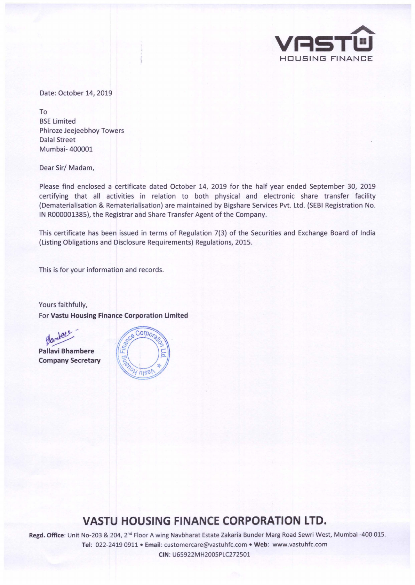

Date: October 14, 2019

To BSE Limited Phiroze Jeejeebhoy Towers Dalal Street Mumbai- 400001

Dear Sir/ Madam,

Please find enclosed a certificate dated October 14, 2019 for the half year ended September 30, 2019 certifying that all activities in relation to both physical and electronic share transfer facility (Dematerialisation & Rematerialisation) are maintained by Bigshare Services Pvt. Ltd. (SEBI Registration No. IN R000001385), the Registrar and Share Transfer Agent of the Company.

This certificate has been issued in terms of Regulation 7(3) of the Securities and Exchange Board of India (Listing Obligations and Disclosure Requirements) Regulations, 2015.

This is for your information and records.

Yours faithfully, For Vastu Housing Finance Corporation Limited



Pallavi Bhambere Company Secretary



## **VASTU HOUSING FINANCE CORPORATION LTD.**

Regd. Office: Unit No-203 & 204, 2"d Floor A wing Navbharat Estate Zakaria Bunder Marg Road Sewri West, Mumbai -400 015. Tel: 022-2419 0911 • Email: customercare@vastuhfc.com • Web: www.vastuhfc.com

CIN : U65922MH2005PLC272501